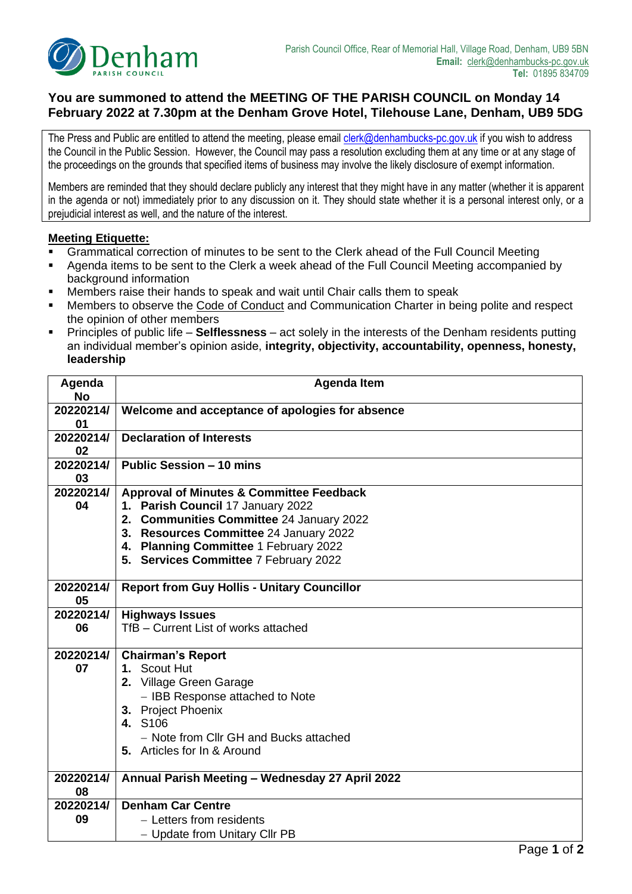

## **You are summoned to attend the MEETING OF THE PARISH COUNCIL on Monday 14 February 2022 at 7.30pm at the Denham Grove Hotel, Tilehouse Lane, Denham, UB9 5DG**

The Press and Public are entitled to attend the meeting, please email *clerk@denhambucks-pc.gov.uk* if you wish to address the Council in the Public Session. However, the Council may pass a resolution excluding them at any time or at any stage of the proceedings on the grounds that specified items of business may involve the likely disclosure of exempt information.

Members are reminded that they should declare publicly any interest that they might have in any matter (whether it is apparent in the agenda or not) immediately prior to any discussion on it. They should state whether it is a personal interest only, or a prejudicial interest as well, and the nature of the interest.

## **Meeting Etiquette:**

- Grammatical correction of minutes to be sent to the Clerk ahead of the Full Council Meeting
- Agenda items to be sent to the Clerk a week ahead of the Full Council Meeting accompanied by background information
- Members raise their hands to speak and wait until Chair calls them to speak
- Members to observe the Code of Conduct and Communication Charter in being polite and respect the opinion of other members
- Principles of public life **Selflessness** act solely in the interests of the Denham residents putting an individual member's opinion aside, **integrity, objectivity, accountability, openness, honesty, leadership**

| Agenda<br><b>No</b> | <b>Agenda Item</b>                                                                                                                                                                                                                                               |  |  |  |  |
|---------------------|------------------------------------------------------------------------------------------------------------------------------------------------------------------------------------------------------------------------------------------------------------------|--|--|--|--|
| 20220214/<br>01     | Welcome and acceptance of apologies for absence                                                                                                                                                                                                                  |  |  |  |  |
| 20220214/<br>02     | <b>Declaration of Interests</b>                                                                                                                                                                                                                                  |  |  |  |  |
| 20220214/<br>03     | <b>Public Session - 10 mins</b>                                                                                                                                                                                                                                  |  |  |  |  |
| 20220214/<br>04     | <b>Approval of Minutes &amp; Committee Feedback</b><br>1. Parish Council 17 January 2022<br>2. Communities Committee 24 January 2022<br>3. Resources Committee 24 January 2022<br>4. Planning Committee 1 February 2022<br>5. Services Committee 7 February 2022 |  |  |  |  |
| 20220214/<br>05     | <b>Report from Guy Hollis - Unitary Councillor</b>                                                                                                                                                                                                               |  |  |  |  |
| 20220214/<br>06     | <b>Highways Issues</b><br>TfB - Current List of works attached                                                                                                                                                                                                   |  |  |  |  |
| 20220214/<br>07     | <b>Chairman's Report</b><br>1. Scout Hut<br>2. Village Green Garage<br>- IBB Response attached to Note<br>3. Project Phoenix<br><b>4. S106</b><br>- Note from Cllr GH and Bucks attached<br>5. Articles for In & Around                                          |  |  |  |  |
| 20220214/<br>08     | Annual Parish Meeting - Wednesday 27 April 2022                                                                                                                                                                                                                  |  |  |  |  |
| 20220214/           | <b>Denham Car Centre</b>                                                                                                                                                                                                                                         |  |  |  |  |
| 09                  | - Letters from residents<br>- Update from Unitary Cllr PB                                                                                                                                                                                                        |  |  |  |  |